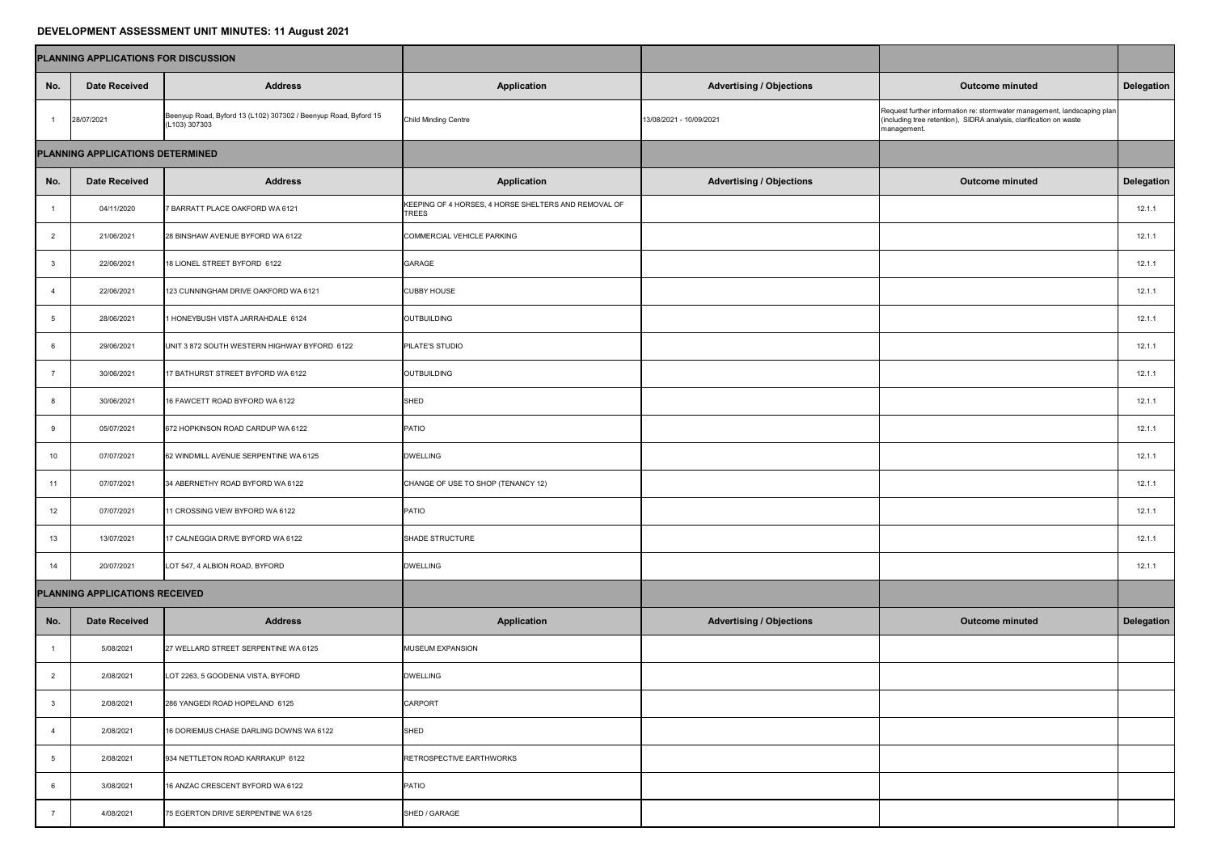## **DEVELOPMENT ASSESSMENT UNIT MINUTES: 11 August 2021**

| PLANNING APPLICATIONS FOR DISCUSSION |                                |                                                                                  |                                                                      |                                 |                                                                                                                                                              |                   |
|--------------------------------------|--------------------------------|----------------------------------------------------------------------------------|----------------------------------------------------------------------|---------------------------------|--------------------------------------------------------------------------------------------------------------------------------------------------------------|-------------------|
| No.                                  | <b>Date Received</b>           | <b>Address</b>                                                                   | <b>Application</b>                                                   | <b>Advertising / Objections</b> | <b>Outcome minuted</b>                                                                                                                                       | <b>Delegation</b> |
|                                      | 28/07/2021                     | Beenyup Road, Byford 13 (L102) 307302 / Beenyup Road, Byford 15<br>(L103) 307303 | <b>Child Minding Centre</b>                                          | 13/08/2021 - 10/09/2021         | Request further information re: stormwater management, landscaping plan<br>(including tree retention), SIDRA analysis, clarification on waste<br>management. |                   |
| PLANNING APPLICATIONS DETERMINED     |                                |                                                                                  |                                                                      |                                 |                                                                                                                                                              |                   |
| No.                                  | <b>Date Received</b>           | <b>Address</b>                                                                   | <b>Application</b>                                                   | <b>Advertising / Objections</b> | <b>Outcome minuted</b>                                                                                                                                       | <b>Delegation</b> |
|                                      | 04/11/2020                     | 7 BARRATT PLACE OAKFORD WA 6121                                                  | KEEPING OF 4 HORSES, 4 HORSE SHELTERS AND REMOVAL OF<br><b>TREES</b> |                                 |                                                                                                                                                              | 12.1.1            |
| $\overline{2}$                       | 21/06/2021                     | 28 BINSHAW AVENUE BYFORD WA 6122                                                 | COMMERCIAL VEHICLE PARKING                                           |                                 |                                                                                                                                                              | 12.1.1            |
| $\mathbf{3}$                         | 22/06/2021                     | 18 LIONEL STREET BYFORD 6122                                                     | <b>GARAGE</b>                                                        |                                 |                                                                                                                                                              | 12.1.1            |
|                                      | 22/06/2021                     | 123 CUNNINGHAM DRIVE OAKFORD WA 6121                                             | <b>CUBBY HOUSE</b>                                                   |                                 |                                                                                                                                                              | 12.1.1            |
| -5                                   | 28/06/2021                     | 1 HONEYBUSH VISTA JARRAHDALE 6124                                                | OUTBUILDING                                                          |                                 |                                                                                                                                                              | 12.1.1            |
| 6                                    | 29/06/2021                     | UNIT 3 872 SOUTH WESTERN HIGHWAY BYFORD 6122                                     | <b>PILATE'S STUDIO</b>                                               |                                 |                                                                                                                                                              | 12.1.1            |
|                                      | 30/06/2021                     | 17 BATHURST STREET BYFORD WA 6122                                                | OUTBUILDING                                                          |                                 |                                                                                                                                                              | 12.1.1            |
|                                      | 30/06/2021                     | 16 FAWCETT ROAD BYFORD WA 6122                                                   | SHED                                                                 |                                 |                                                                                                                                                              | 12.1.1            |
|                                      | 05/07/2021                     | 672 HOPKINSON ROAD CARDUP WA 6122                                                | <b>PATIO</b>                                                         |                                 |                                                                                                                                                              | 12.1.1            |
| 10 <sup>°</sup>                      | 07/07/2021                     | 62 WINDMILL AVENUE SERPENTINE WA 6125                                            | <b>DWELLING</b>                                                      |                                 |                                                                                                                                                              | 12.1.1            |
| 11                                   | 07/07/2021                     | 34 ABERNETHY ROAD BYFORD WA 6122                                                 | CHANGE OF USE TO SHOP (TENANCY 12)                                   |                                 |                                                                                                                                                              | 12.1.1            |
| 12 <sup>2</sup>                      | 07/07/2021                     | 11 CROSSING VIEW BYFORD WA 6122                                                  | PATIO                                                                |                                 |                                                                                                                                                              | 12.1.1            |
| 13 <sup>7</sup>                      | 13/07/2021                     | 17 CALNEGGIA DRIVE BYFORD WA 6122                                                | SHADE STRUCTURE                                                      |                                 |                                                                                                                                                              | 12.1.1            |
| 14                                   | 20/07/2021                     | LOT 547, 4 ALBION ROAD, BYFORD                                                   | <b>DWELLING</b>                                                      |                                 |                                                                                                                                                              | 12.1.1            |
|                                      | PLANNING APPLICATIONS RECEIVED |                                                                                  |                                                                      |                                 |                                                                                                                                                              |                   |
| No.                                  | <b>Date Received</b>           | <b>Address</b>                                                                   | <b>Application</b>                                                   | <b>Advertising / Objections</b> | <b>Outcome minuted</b>                                                                                                                                       | Delegation        |
|                                      | 5/08/2021                      | 27 WELLARD STREET SERPENTINE WA 6125                                             | <b>MUSEUM EXPANSION</b>                                              |                                 |                                                                                                                                                              |                   |
|                                      | 2/08/2021                      | LOT 2263, 5 GOODENIA VISTA, BYFORD                                               | <b>DWELLING</b>                                                      |                                 |                                                                                                                                                              |                   |
|                                      | 2/08/2021                      | 286 YANGEDI ROAD HOPELAND 6125                                                   | <b>CARPORT</b>                                                       |                                 |                                                                                                                                                              |                   |
|                                      | 2/08/2021                      | 16 DORIEMUS CHASE DARLING DOWNS WA 6122                                          | SHED                                                                 |                                 |                                                                                                                                                              |                   |
|                                      | 2/08/2021                      | 934 NETTLETON ROAD KARRAKUP 6122                                                 | RETROSPECTIVE EARTHWORKS                                             |                                 |                                                                                                                                                              |                   |
|                                      | 3/08/2021                      | 16 ANZAC CRESCENT BYFORD WA 6122                                                 | PATIO                                                                |                                 |                                                                                                                                                              |                   |
|                                      | 4/08/2021                      | 75 EGERTON DRIVE SERPENTINE WA 6125                                              | SHED / GARAGE                                                        |                                 |                                                                                                                                                              |                   |